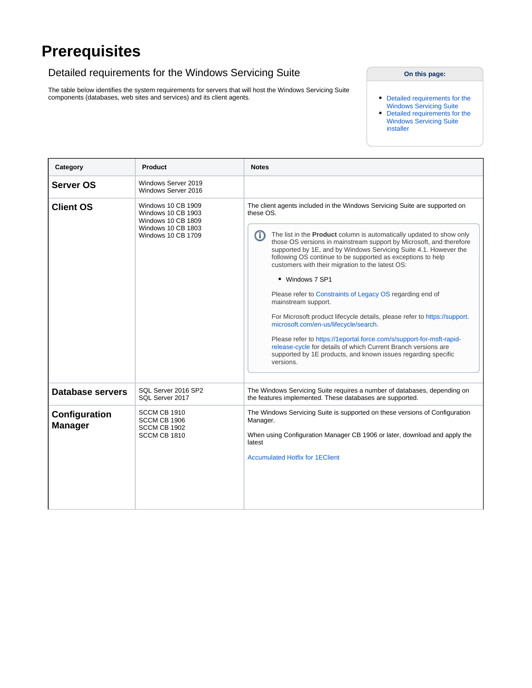## **Prerequisites**

## <span id="page-0-0"></span>Detailed requirements for the Windows Servicing Suite

The table below identifies the system requirements for servers that will host the Windows Servicing Suite components (databases, web sites and services) and its client agents.

## **On this page:**

- [Detailed requirements for the](#page-0-0)  [Windows Servicing Suite](#page-0-0)
- [Detailed requirements for the](#page-2-0)  [Windows Servicing Suite](#page-2-0)  [installer](#page-2-0)

<span id="page-0-2"></span><span id="page-0-1"></span>

| Category                        | <b>Product</b>                                                                                                                         | <b>Notes</b>                                                                                                                                                                                                                                                                                                                                                                                                                                                                                                                                                                                                                                                                                                                                                                                                                                                                                    |  |
|---------------------------------|----------------------------------------------------------------------------------------------------------------------------------------|-------------------------------------------------------------------------------------------------------------------------------------------------------------------------------------------------------------------------------------------------------------------------------------------------------------------------------------------------------------------------------------------------------------------------------------------------------------------------------------------------------------------------------------------------------------------------------------------------------------------------------------------------------------------------------------------------------------------------------------------------------------------------------------------------------------------------------------------------------------------------------------------------|--|
| <b>Server OS</b>                | Windows Server 2019<br>Windows Server 2016                                                                                             |                                                                                                                                                                                                                                                                                                                                                                                                                                                                                                                                                                                                                                                                                                                                                                                                                                                                                                 |  |
| <b>Client OS</b>                | Windows 10 CB 1909<br><b>Windows 10 CB 1903</b><br><b>Windows 10 CB 1809</b><br><b>Windows 10 CB 1803</b><br><b>Windows 10 CB 1709</b> | The client agents included in the Windows Servicing Suite are supported on<br>these OS.<br>The list in the <b>Product</b> column is automatically updated to show only<br>G)<br>those OS versions in mainstream support by Microsoft, and therefore<br>supported by 1E, and by Windows Servicing Suite 4.1. However the<br>following OS continue to be supported as exceptions to help<br>customers with their migration to the latest OS:<br>• Windows 7 SP1<br>Please refer to Constraints of Legacy OS regarding end of<br>mainstream support.<br>For Microsoft product lifecycle details, please refer to https://support.<br>microsoft.com/en-us/lifecycle/search.<br>Please refer to https://1eportal.force.com/s/support-for-msft-rapid-<br>release-cycle for details of which Current Branch versions are<br>supported by 1E products, and known issues regarding specific<br>versions. |  |
| <b>Database servers</b>         | SOL Server 2016 SP2<br>SQL Server 2017                                                                                                 | The Windows Servicing Suite requires a number of databases, depending on<br>the features implemented. These databases are supported.                                                                                                                                                                                                                                                                                                                                                                                                                                                                                                                                                                                                                                                                                                                                                            |  |
| Configuration<br><b>Manager</b> | SCCM CB 1910<br>SCCM CB 1906<br>SCCM CB 1902<br>SCCM CB 1810                                                                           | The Windows Servicing Suite is supported on these versions of Configuration<br>Manager.<br>When using Configuration Manager CB 1906 or later, download and apply the<br>latest<br><b>Accumulated Hotfix for 1EClient</b>                                                                                                                                                                                                                                                                                                                                                                                                                                                                                                                                                                                                                                                                        |  |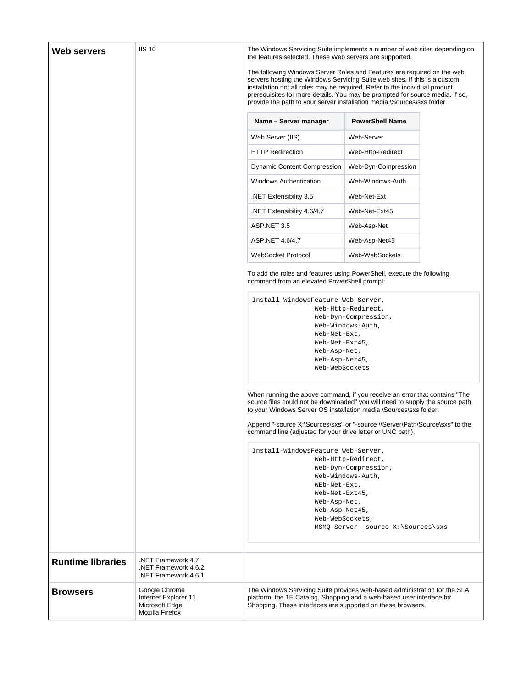<span id="page-1-0"></span>

| Web servers              | <b>IIS 10</b>                                                              | The Windows Servicing Suite implements a number of web sites depending on<br>the features selected. These Web servers are supported.<br>The following Windows Server Roles and Features are required on the web<br>servers hosting the Windows Servicing Suite web sites. If this is a custom |                                            |  |
|--------------------------|----------------------------------------------------------------------------|-----------------------------------------------------------------------------------------------------------------------------------------------------------------------------------------------------------------------------------------------------------------------------------------------|--------------------------------------------|--|
|                          |                                                                            | installation not all roles may be required. Refer to the individual product<br>prerequisites for more details. You may be prompted for source media. If so,<br>provide the path to your server installation media \Sources\sxs folder.                                                        |                                            |  |
|                          |                                                                            | Name - Server manager                                                                                                                                                                                                                                                                         | <b>PowerShell Name</b>                     |  |
|                          |                                                                            | Web Server (IIS)                                                                                                                                                                                                                                                                              | Web-Server                                 |  |
|                          |                                                                            | <b>HTTP Redirection</b>                                                                                                                                                                                                                                                                       | Web-Http-Redirect                          |  |
|                          |                                                                            | <b>Dynamic Content Compression</b>                                                                                                                                                                                                                                                            | Web-Dyn-Compression                        |  |
|                          |                                                                            | <b>Windows Authentication</b>                                                                                                                                                                                                                                                                 | Web-Windows-Auth                           |  |
|                          |                                                                            | NET Extensibility 3.5                                                                                                                                                                                                                                                                         | Web-Net-Ext                                |  |
|                          |                                                                            | NET Extensibility 4.6/4.7                                                                                                                                                                                                                                                                     | Web-Net-Ext45                              |  |
|                          |                                                                            | ASP NET 3.5                                                                                                                                                                                                                                                                                   | Web-Asp-Net                                |  |
|                          |                                                                            | ASP.NET 4.6/4.7                                                                                                                                                                                                                                                                               | Web-Asp-Net45                              |  |
|                          |                                                                            | <b>WebSocket Protocol</b>                                                                                                                                                                                                                                                                     | Web-WebSockets                             |  |
|                          |                                                                            | To add the roles and features using PowerShell, execute the following<br>command from an elevated PowerShell prompt:                                                                                                                                                                          |                                            |  |
|                          |                                                                            | Install-WindowsFeature Web-Server,                                                                                                                                                                                                                                                            | Web-Http-Redirect,<br>Web-Dyn-Compression, |  |
|                          |                                                                            | Web-Net-Ext,                                                                                                                                                                                                                                                                                  | Web-Windows-Auth,                          |  |
|                          |                                                                            | Web-Net-Ext45,<br>Web-Asp-Net,                                                                                                                                                                                                                                                                |                                            |  |
|                          |                                                                            | Web-Asp-Net45,<br>Web-WebSockets                                                                                                                                                                                                                                                              |                                            |  |
|                          |                                                                            |                                                                                                                                                                                                                                                                                               |                                            |  |
|                          |                                                                            | When running the above command, if you receive an error that contains "The<br>source files could not be downloaded" you will need to supply the source path<br>to your Windows Server OS installation media \Sources\sxs folder.                                                              |                                            |  |
|                          |                                                                            | Append "-source X:\Sources\sxs" or "-source \\Server\Path\Source\sxs" to the<br>command line (adjusted for your drive letter or UNC path).                                                                                                                                                    |                                            |  |
|                          |                                                                            | Install-WindowsFeature Web-Server,                                                                                                                                                                                                                                                            | Web-Http-Redirect,<br>Web-Dyn-Compression, |  |
|                          |                                                                            | WEb-Net-Ext,                                                                                                                                                                                                                                                                                  | Web-Windows-Auth,                          |  |
|                          |                                                                            | Web-Net-Ext45,                                                                                                                                                                                                                                                                                |                                            |  |
|                          |                                                                            | Web-Asp-Net,<br>Web-Asp-Net45,                                                                                                                                                                                                                                                                |                                            |  |
|                          |                                                                            | Web-WebSockets,                                                                                                                                                                                                                                                                               | MSMQ-Server -source X:\Sources\sxs         |  |
|                          |                                                                            |                                                                                                                                                                                                                                                                                               |                                            |  |
|                          | NET Framework 4.7                                                          |                                                                                                                                                                                                                                                                                               |                                            |  |
| <b>Runtime libraries</b> | .NET Framework 4.6.2<br>.NET Framework 4.6.1                               |                                                                                                                                                                                                                                                                                               |                                            |  |
| <b>Browsers</b>          | Google Chrome<br>Internet Explorer 11<br>Microsoft Edge<br>Mozilla Firefox | The Windows Servicing Suite provides web-based administration for the SLA<br>platform, the 1E Catalog, Shopping and a web-based user interface for<br>Shopping. These interfaces are supported on these browsers.                                                                             |                                            |  |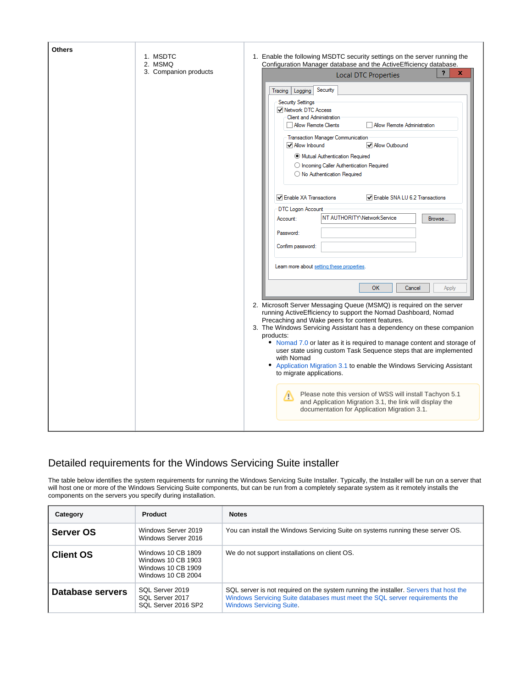| <b>Others</b> | 1. MSDTC<br>2. MSMQ   | 1. Enable the following MSDTC security settings on the server running the<br>Configuration Manager database and the ActiveEfficiency database.                                            |
|---------------|-----------------------|-------------------------------------------------------------------------------------------------------------------------------------------------------------------------------------------|
|               | 3. Companion products | $\overline{\mathbf{?}}$<br>x<br><b>Local DTC Properties</b>                                                                                                                               |
|               |                       | Security<br>Tracing   Logging                                                                                                                                                             |
|               |                       | <b>Security Settings</b>                                                                                                                                                                  |
|               |                       | Network DTC Access<br>Client and Administration                                                                                                                                           |
|               |                       | Allow Remote Clients<br>Allow Remote Administration                                                                                                                                       |
|               |                       | Transaction Manager Communication                                                                                                                                                         |
|               |                       | Allow Inbound<br>Mlow Outbound                                                                                                                                                            |
|               |                       | Mutual Authentication Required                                                                                                                                                            |
|               |                       | O Incoming Caller Authentication Required                                                                                                                                                 |
|               |                       | O No Authentication Required                                                                                                                                                              |
|               |                       | Tenable XA Transactions<br>Enable SNA LU 6.2 Transactions                                                                                                                                 |
|               |                       | DTC Logon Account                                                                                                                                                                         |
|               |                       | NT AUTHORITY\NetworkService<br>Account:<br>Browse                                                                                                                                         |
|               |                       | Password:                                                                                                                                                                                 |
|               |                       |                                                                                                                                                                                           |
|               |                       | Confirm password:                                                                                                                                                                         |
|               |                       | Leam more about setting these properties.                                                                                                                                                 |
|               |                       |                                                                                                                                                                                           |
|               |                       | <b>OK</b><br>Cancel<br>Apply                                                                                                                                                              |
|               |                       | 2. Microsoft Server Messaging Queue (MSMQ) is required on the server<br>running ActiveEfficiency to support the Nomad Dashboard, Nomad<br>Precaching and Wake peers for content features. |
|               |                       | 3. The Windows Servicing Assistant has a dependency on these companion                                                                                                                    |
|               |                       | products:                                                                                                                                                                                 |
|               |                       | • Nomad 7.0 or later as it is required to manage content and storage of<br>user state using custom Task Sequence steps that are implemented                                               |
|               |                       | with Nomad                                                                                                                                                                                |
|               |                       | • Application Migration 3.1 to enable the Windows Servicing Assistant<br>to migrate applications.                                                                                         |
|               |                       | Please note this version of WSS will install Tachyon 5.1<br>Δ                                                                                                                             |
|               |                       | and Application Migration 3.1, the link will display the<br>documentation for Application Migration 3.1.                                                                                  |
|               |                       |                                                                                                                                                                                           |

## <span id="page-2-0"></span>Detailed requirements for the Windows Servicing Suite installer

The table below identifies the system requirements for running the Windows Servicing Suite Installer. Typically, the Installer will be run on a server that will host one or more of the Windows Servicing Suite components, but can be run from a completely separate system as it remotely installs the components on the servers you specify during installation.

| Category         | <b>Product</b>                                                                       | <b>Notes</b>                                                                                                                                                                                            |
|------------------|--------------------------------------------------------------------------------------|---------------------------------------------------------------------------------------------------------------------------------------------------------------------------------------------------------|
| <b>Server OS</b> | Windows Server 2019<br>Windows Server 2016                                           | You can install the Windows Servicing Suite on systems running these server OS.                                                                                                                         |
| <b>Client OS</b> | Windows 10 CB 1809<br>Windows 10 CB 1903<br>Windows 10 CB 1909<br>Windows 10 CB 2004 | We do not support installations on client OS.                                                                                                                                                           |
| Database servers | SQL Server 2019<br>SQL Server 2017<br>SQL Server 2016 SP2                            | SQL server is not required on the system running the installer. Servers that host the<br>Windows Servicing Suite databases must meet the SQL server requirements the<br><b>Windows Servicing Suite.</b> |